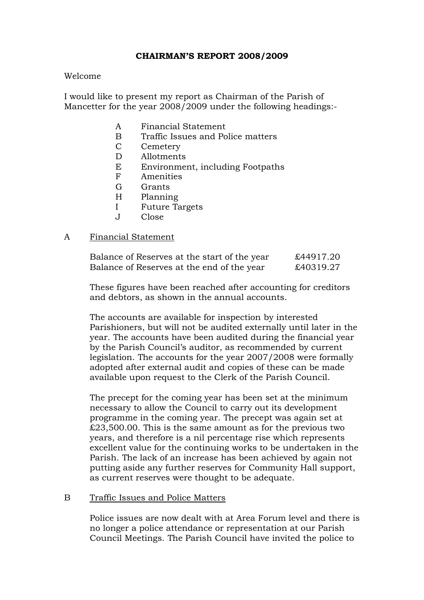# CHAIRMAN'S REPORT 2008/2009

# Welcome

I would like to present my report as Chairman of the Parish of Mancetter for the year 2008/2009 under the following headings:-

- A Financial Statement
- B Traffic Issues and Police matters
- C Cemetery
- D Allotments
- E Environment, including Footpaths
- F Amenities
- G Grants
- H Planning
- I Future Targets
- J Close

# A Financial Statement

| Balance of Reserves at the start of the year | £44917.20 |
|----------------------------------------------|-----------|
| Balance of Reserves at the end of the year   | £40319.27 |

 These figures have been reached after accounting for creditors and debtors, as shown in the annual accounts.

The accounts are available for inspection by interested Parishioners, but will not be audited externally until later in the year. The accounts have been audited during the financial year by the Parish Council's auditor, as recommended by current legislation. The accounts for the year 2007/2008 were formally adopted after external audit and copies of these can be made available upon request to the Clerk of the Parish Council.

The precept for the coming year has been set at the minimum necessary to allow the Council to carry out its development programme in the coming year. The precept was again set at £23,500.00. This is the same amount as for the previous two years, and therefore is a nil percentage rise which represents excellent value for the continuing works to be undertaken in the Parish. The lack of an increase has been achieved by again not putting aside any further reserves for Community Hall support, as current reserves were thought to be adequate.

# B Traffic Issues and Police Matters

Police issues are now dealt with at Area Forum level and there is no longer a police attendance or representation at our Parish Council Meetings. The Parish Council have invited the police to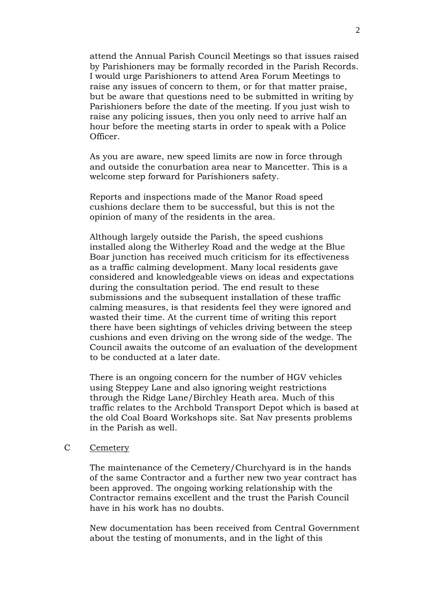attend the Annual Parish Council Meetings so that issues raised by Parishioners may be formally recorded in the Parish Records. I would urge Parishioners to attend Area Forum Meetings to raise any issues of concern to them, or for that matter praise, but be aware that questions need to be submitted in writing by Parishioners before the date of the meeting. If you just wish to raise any policing issues, then you only need to arrive half an hour before the meeting starts in order to speak with a Police Officer.

As you are aware, new speed limits are now in force through and outside the conurbation area near to Mancetter. This is a welcome step forward for Parishioners safety.

Reports and inspections made of the Manor Road speed cushions declare them to be successful, but this is not the opinion of many of the residents in the area.

Although largely outside the Parish, the speed cushions installed along the Witherley Road and the wedge at the Blue Boar junction has received much criticism for its effectiveness as a traffic calming development. Many local residents gave considered and knowledgeable views on ideas and expectations during the consultation period. The end result to these submissions and the subsequent installation of these traffic calming measures, is that residents feel they were ignored and wasted their time. At the current time of writing this report there have been sightings of vehicles driving between the steep cushions and even driving on the wrong side of the wedge. The Council awaits the outcome of an evaluation of the development to be conducted at a later date.

There is an ongoing concern for the number of HGV vehicles using Steppey Lane and also ignoring weight restrictions through the Ridge Lane/Birchley Heath area. Much of this traffic relates to the Archbold Transport Depot which is based at the old Coal Board Workshops site. Sat Nav presents problems in the Parish as well.

# C Cemetery

The maintenance of the Cemetery/Churchyard is in the hands of the same Contractor and a further new two year contract has been approved. The ongoing working relationship with the Contractor remains excellent and the trust the Parish Council have in his work has no doubts.

New documentation has been received from Central Government about the testing of monuments, and in the light of this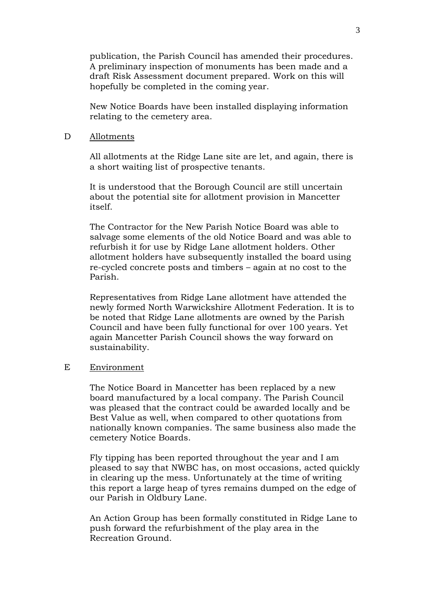publication, the Parish Council has amended their procedures. A preliminary inspection of monuments has been made and a draft Risk Assessment document prepared. Work on this will hopefully be completed in the coming year.

New Notice Boards have been installed displaying information relating to the cemetery area.

#### D Allotments

All allotments at the Ridge Lane site are let, and again, there is a short waiting list of prospective tenants.

It is understood that the Borough Council are still uncertain about the potential site for allotment provision in Mancetter itself.

The Contractor for the New Parish Notice Board was able to salvage some elements of the old Notice Board and was able to refurbish it for use by Ridge Lane allotment holders. Other allotment holders have subsequently installed the board using re-cycled concrete posts and timbers – again at no cost to the Parish.

Representatives from Ridge Lane allotment have attended the newly formed North Warwickshire Allotment Federation. It is to be noted that Ridge Lane allotments are owned by the Parish Council and have been fully functional for over 100 years. Yet again Mancetter Parish Council shows the way forward on sustainability.

#### E Environment

The Notice Board in Mancetter has been replaced by a new board manufactured by a local company. The Parish Council was pleased that the contract could be awarded locally and be Best Value as well, when compared to other quotations from nationally known companies. The same business also made the cemetery Notice Boards.

Fly tipping has been reported throughout the year and I am pleased to say that NWBC has, on most occasions, acted quickly in clearing up the mess. Unfortunately at the time of writing this report a large heap of tyres remains dumped on the edge of our Parish in Oldbury Lane.

An Action Group has been formally constituted in Ridge Lane to push forward the refurbishment of the play area in the Recreation Ground.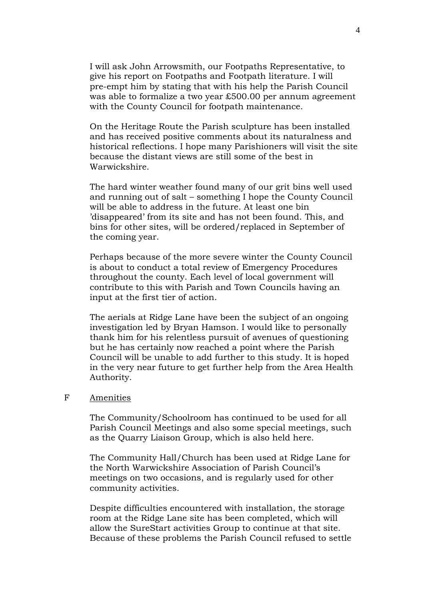I will ask John Arrowsmith, our Footpaths Representative, to give his report on Footpaths and Footpath literature. I will pre-empt him by stating that with his help the Parish Council was able to formalize a two year £500.00 per annum agreement with the County Council for footpath maintenance.

On the Heritage Route the Parish sculpture has been installed and has received positive comments about its naturalness and historical reflections. I hope many Parishioners will visit the site because the distant views are still some of the best in Warwickshire.

The hard winter weather found many of our grit bins well used and running out of salt – something I hope the County Council will be able to address in the future. At least one bin 'disappeared' from its site and has not been found. This, and bins for other sites, will be ordered/replaced in September of the coming year.

Perhaps because of the more severe winter the County Council is about to conduct a total review of Emergency Procedures throughout the county. Each level of local government will contribute to this with Parish and Town Councils having an input at the first tier of action.

The aerials at Ridge Lane have been the subject of an ongoing investigation led by Bryan Hamson. I would like to personally thank him for his relentless pursuit of avenues of questioning but he has certainly now reached a point where the Parish Council will be unable to add further to this study. It is hoped in the very near future to get further help from the Area Health Authority.

# F Amenities

The Community/Schoolroom has continued to be used for all Parish Council Meetings and also some special meetings, such as the Quarry Liaison Group, which is also held here.

The Community Hall/Church has been used at Ridge Lane for the North Warwickshire Association of Parish Council's meetings on two occasions, and is regularly used for other community activities.

Despite difficulties encountered with installation, the storage room at the Ridge Lane site has been completed, which will allow the SureStart activities Group to continue at that site. Because of these problems the Parish Council refused to settle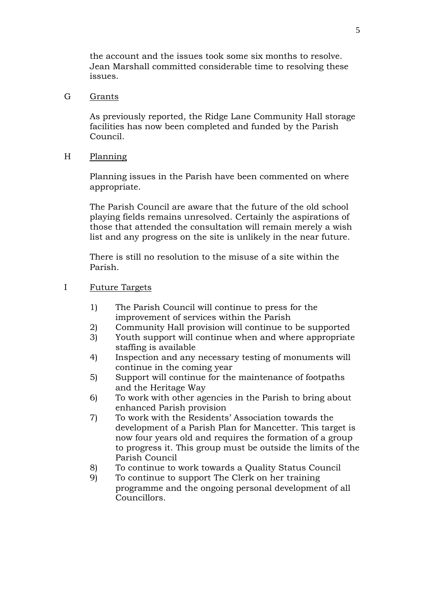the account and the issues took some six months to resolve. Jean Marshall committed considerable time to resolving these issues.

# G Grants

As previously reported, the Ridge Lane Community Hall storage facilities has now been completed and funded by the Parish Council.

H Planning

Planning issues in the Parish have been commented on where appropriate.

The Parish Council are aware that the future of the old school playing fields remains unresolved. Certainly the aspirations of those that attended the consultation will remain merely a wish list and any progress on the site is unlikely in the near future.

There is still no resolution to the misuse of a site within the Parish.

- I Future Targets
	- 1) The Parish Council will continue to press for the improvement of services within the Parish
	- 2) Community Hall provision will continue to be supported
	- 3) Youth support will continue when and where appropriate staffing is available
	- 4) Inspection and any necessary testing of monuments will continue in the coming year
	- 5) Support will continue for the maintenance of footpaths and the Heritage Way
	- 6) To work with other agencies in the Parish to bring about enhanced Parish provision
	- 7) To work with the Residents' Association towards the development of a Parish Plan for Mancetter. This target is now four years old and requires the formation of a group to progress it. This group must be outside the limits of the Parish Council
	- 8) To continue to work towards a Quality Status Council
	- 9) To continue to support The Clerk on her training programme and the ongoing personal development of all Councillors.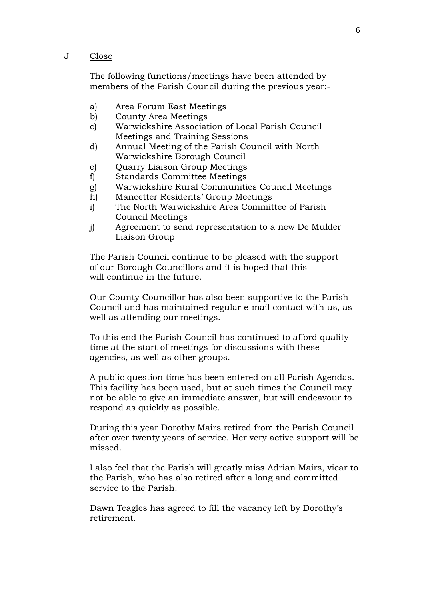### J Close

The following functions/meetings have been attended by members of the Parish Council during the previous year:-

- a) Area Forum East Meetings
- b) County Area Meetings
- c) Warwickshire Association of Local Parish Council Meetings and Training Sessions
- d) Annual Meeting of the Parish Council with North Warwickshire Borough Council
- e) Quarry Liaison Group Meetings
- f) Standards Committee Meetings
- g) Warwickshire Rural Communities Council Meetings
- h) Mancetter Residents' Group Meetings
- i) The North Warwickshire Area Committee of Parish Council Meetings
- j) Agreement to send representation to a new De Mulder Liaison Group

The Parish Council continue to be pleased with the support of our Borough Councillors and it is hoped that this will continue in the future.

Our County Councillor has also been supportive to the Parish Council and has maintained regular e-mail contact with us, as well as attending our meetings.

To this end the Parish Council has continued to afford quality time at the start of meetings for discussions with these agencies, as well as other groups.

A public question time has been entered on all Parish Agendas. This facility has been used, but at such times the Council may not be able to give an immediate answer, but will endeavour to respond as quickly as possible.

During this year Dorothy Mairs retired from the Parish Council after over twenty years of service. Her very active support will be missed.

I also feel that the Parish will greatly miss Adrian Mairs, vicar to the Parish, who has also retired after a long and committed service to the Parish.

Dawn Teagles has agreed to fill the vacancy left by Dorothy's retirement.